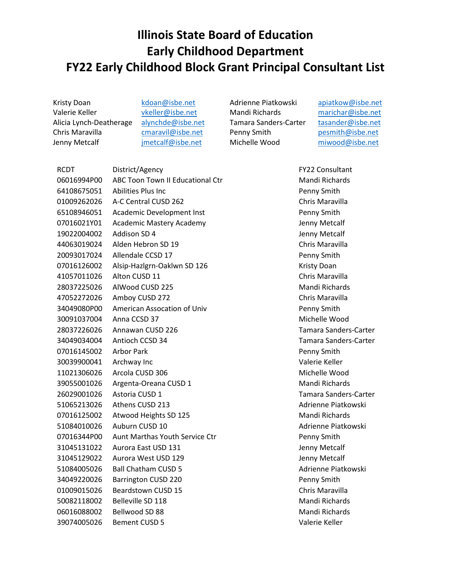## **Illinois State Board of Education Early Childhood Department FY22 Early Childhood Block Grant Principal Consultant List**

Kristy Doan Valerie Keller Alicia Lynch-Deatherage Chris Maravilla Jenny Metcalf

[kdoan@isbe.net](mailto:kdoan@isbe.net) [vkeller@isbe.net](mailto:vkeller@isbe.net) [alynchde@isbe.net](mailto:alynchde@isbe.net) [cmaravil@isbe.net](mailto:cmaravil@isbe.net) [jmetcalf@isbe.net](mailto:jmetcalf@isbe.net)

Adrienne Piatkowski Mandi Richards Tamara Sanders-Carter Penny Smith Michelle Wood

[apiatkow@isbe.net](mailto:apiatkow@isbe.net) [marichar@isbe.net](mailto:marichar@isbe.net) [tasander@isbe.net](mailto:tasander@isbe.net) [pesmith@isbe.net](mailto:pesmith@isbe.net) [miwood@isbe.net](mailto:miwood@isbe.net)

RCDT District/Agency District/Agency **FY22 Consultant** 06016994P00 ABC Toon Town II Educational Ctr Mandi Richards Abilities Plus Inc Penny Smith A-C Central CUSD 262 Chris Maravilla 65108946051 Academic Development Inst **Penny Smith** 07016021Y01 Academic Mastery Academy Jenny Metcalf Addison SD 4 Jenny Metcalf Alden Hebron SD 19 Chris Maravilla Allendale CCSD 17 Penny Smith 07016126002 Alsip-Hazlgrn-Oaklwn SD 126 Kristy Doan Alton CUSD 11 Chris Maravilla AlWood CUSD 225 Mandi Richards Amboy CUSD 272 Chris Maravilla 34049080P00 American Assocation of Univ Penny Smith Anna CCSD 37 Michelle Wood Annawan CUSD 226 Tamara Sanders-Carter Antioch CCSD 34 Tamara Sanders-Carter Arbor Park Penny Smith Archway Inc Valerie Keller Arcola CUSD 306 Michelle Wood Argenta-Oreana CUSD 1 Mandi Richards Astoria CUSD 1 Tamara Sanders-Carter 51065213026 Athens CUSD 213 Adrienne Piatkowski 07016125002 Atwood Heights SD 125 Mandi Richards 51084010026 Auburn CUSD 10 Adrienne Piatkowski 07016344P00 Aunt Marthas Youth Service Ctr **Penny Smith**  Aurora East USD 131 Jenny Metcalf Aurora West USD 129 Jenny Metcalf 51084005026 Ball Chatham CUSD 5 Adrienne Piatkowski Barrington CUSD 220 Penny Smith Beardstown CUSD 15 Chris Maravilla 50082118002 Belleville SD 118 Mandi Richards 06016088002 Bellwood SD 88 Mandi Richards Bement CUSD 5 Valerie Keller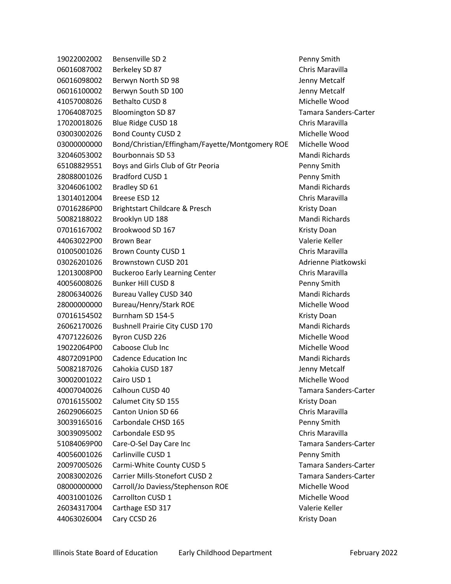19022002002 Bensenville SD 2 Penny Smith 06016087002 Berkeley SD 87 Chris Maravilla 06016098002 Berwyn North SD 98 Jenny Metcalf 06016100002 Berwyn South SD 100 Control of the Metcalf 41057008026 Bethalto CUSD 8 Michelle Wood 17064087025 Bloomington SD 87 Tamara Sanders-Carter 17020018026 Blue Ridge CUSD 18 Chris Maravilla 03003002026 Bond County CUSD 2 Michelle Wood 03000000000 Bond/Christian/Effingham/Fayette/Montgomery ROE Michelle Wood 32046053002 Bourbonnais SD 53 Mandi Richards 65108829551 Boys and Girls Club of Gtr Peoria Penny Smith 28088001026 Bradford CUSD 1 Penny Smith 32046061002 Bradley SD 61 Manual Richards Mandi Richards 13014012004 Breese ESD 12 Chris Maravilla 07016286P00 Brightstart Childcare & Presch Kristy Doan 50082188022 Brooklyn UD 188 Mandi Richards 07016167002 Brookwood SD 167 Kristy Doan 44063022P00 Brown Bear Valerie Keller 01005001026 Brown County CUSD 1 Chris Maravilla 03026201026 Brownstown CUSD 201 Adrienne Piatkowski 12013008P00 Buckeroo Early Learning Center Chris Maravilla 40056008026 Bunker Hill CUSD 8 Penny Smith 28006340026 Bureau Valley CUSD 340 Mandi Richards 28000000000 Bureau/Henry/Stark ROE Michelle Wood 07016154502 Burnham SD 154-5 Kristy Doan 26062170026 Bushnell Prairie City CUSD 170 Mandi Richards 47071226026 Byron CUSD 226 Michelle Wood 19022064P00 Caboose Club Inc Michelle Wood 48072091P00 Cadence Education Inc Mandi Richards 50082187026 Cahokia CUSD 187 Jenny Metcalf 30002001022 Cairo USD 1 Michelle Wood 40007040026 Calhoun CUSD 40 Tamara Sanders-Carter 07016155002 Calumet City SD 155 Kristy Doan 26029066025 Canton Union SD 66 Chris Maravilla 30039165016 Carbondale CHSD 165 Penny Smith 30039095002 Carbondale ESD 95 Chris Maravilla 51084069P00 Care-O-Sel Day Care Inc Tamara Sanders-Carter 40056001026 Carlinville CUSD 1 Penny Smith 20097005026 Carmi-White County CUSD 5 Tamara Sanders-Carter 20083002026 Carrier Mills-Stonefort CUSD 2 Tamara Sanders-Carter 08000000000 Carroll/Jo Daviess/Stephenson ROE Michelle Wood 40031001026 Carrollton CUSD 1 Michelle Wood 26034317004 Carthage ESD 317 Valerie Keller Aan Abdul 2000 2012 12:30 Kristy Doan American Carry CCSD 26 Kristy Doan American Carry Communications of the M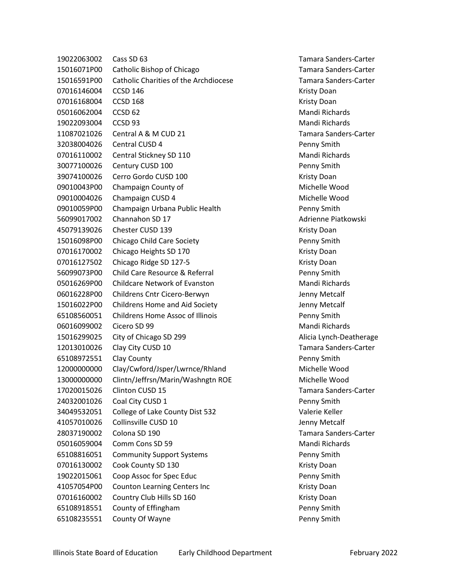19022063002 Cass SD 63 Tamara Sanders-Carter 15016071P00 Catholic Bishop of Chicago Tamara Sanders-Carter 15016591P00 Catholic Charities of the Archdiocese Tamara Sanders-Carter 07016146004 CCSD 146 Kristy Doan 07016168004 CCSD 168 Kristy Doan 05016062004 CCSD 62 Mandi Richards 19022093004 CCSD 93 Mandi Richards 11087021026 Central A & M CUD 21 Tamara Sanders-Carter 32038004026 Central CUSD 4 Penny Smith 07016110002 Central Stickney SD 110 Verbandi Mandi Richards 30077100026 Century CUSD 100 Penny Smith 39074100026 Cerro Gordo CUSD 100 Kristy Doan 09010043P00 Champaign County of Michelle Wood 09010004026 Champaign CUSD 4 Michelle Wood 09010059P00 Champaign Urbana Public Health Penny Smith 56099017002 Channahon SD 17 Adrienne Piatkowski 45079139026 Chester CUSD 139 Channel Customer Customer Metal Chester Customer Metal Chester Customer Customer 15016098P00 Chicago Child Care Society Penny Smith 07016170002 Chicago Heights SD 170 Chicago Heights SD 170 07016127502 Chicago Ridge SD 127-5 Kristy Doan 56099073P00 Child Care Resource & Referral Penny Smith 05016269P00 Childcare Network of Evanston Mandi Richards 06016228P00 Childrens Cntr Cicero-Berwyn Jenny Metcalf 15016022P00 Childrens Home and Aid Society Jenny Metcalf 65108560051 Childrens Home Assoc of Illinois Penny Smith 06016099002 Cicero SD 99 Mandi Richards 15016299025 City of Chicago SD 299 Alicia Lynch-Deatherage 12013010026 Clay City CUSD 10 Tamara Sanders-Carter 65108972551 Clay County Penny Smith 12000000000 Clay/Cwford/Jsper/Lwrnce/Rhland Michelle Wood 13000000000 Clintn/Jeffrsn/Marin/Washngtn ROE Michelle Wood 17020015026 Clinton CUSD 15 Tamara Sanders-Carter 24032001026 Coal City CUSD 1 Penny Smith 34049532051 College of Lake County Dist 532 Valerie Keller 41057010026 Collinsville CUSD 10 Jenny Metcalf 28037190002 Colona SD 190 Tamara Sanders-Carter 05016059004 Comm Cons SD 59 Mandi Richards 65108816051 Community Support Systems **Penny Smith** 07016130002 Cook County SD 130 Cook County SD 130 19022015061 Coop Assoc for Spec Educ Penny Smith 41057054P00 Counton Learning Centers Inc **Material County Contract Centers** Kristy Doan 07016160002 Country Club Hills SD 160 Kristy Doan Kristy Doan 65108918551 County of Effingham Penny Smith 65108235551 County Of Wayne Penny Smith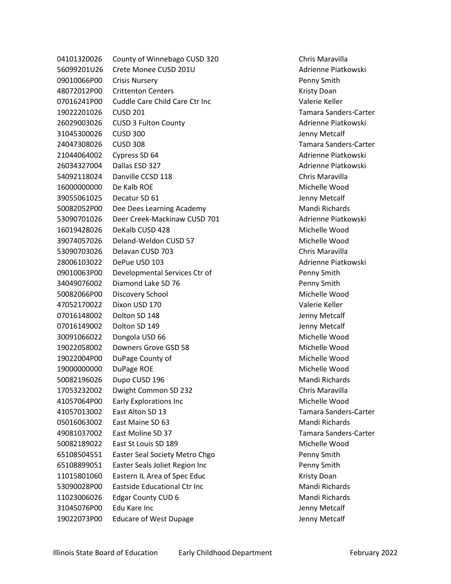04101320026 County of Winnebago CUSD 320 Chris Maravilla 56099201U26 Crete Monee CUSD 201U Adrienne Piatkowski 09010066P00 Crisis Nursery Penny Smith 48072012P00 Crittenton Centers **Kristy Doan** 07016241P00 Cuddle Care Child Care Ctr Inc Valerie Keller 19022201026 CUSD 201 Tamara Sanders-Carter 26029003026 CUSD 3 Fulton County **Adrigation County** Adrienne Piatkowski 31045300026 CUSD 300 Jenny Metcalf 24047308026 CUSD 308 Tamara Sanders-Carter 21044064002 Cypress SD 64 Channel Communication of the Adrienne Piatkowski 26034327004 Dallas ESD 327 Channel Communication Communication Adrienne Piatkowski 54092118024 Danville CCSD 118 Chris Maravilla 16000000000 De Kalb ROE Michelle Wood 39055061025 Decatur SD 61 Jenny Metcalf 50082052P00 Dee Dees Learning Academy Mandi Richards 53090701026 Deer Creek-Mackinaw CUSD 701 Adrienne Piatkowski 16019428026 DeKalb CUSD 428 Michelle Wood 39074057026 Deland-Weldon CUSD 57 Michelle Wood 53090703026 Delavan CUSD 703 Chris Maravilla 28006103022 DePue USD 103 Adrienne Piatkowski 09010063P00 Developmental Services Ctr of New York Channel Smith 34049076002 Diamond Lake SD 76 Penny Smith 50082066P00 Discovery School Michelle Wood 47052170022 Dixon USD 170 Valerie Keller 07016148002 Dolton SD 148 Jenny Metcalf 07016149002 Dolton SD 149 Jenny Metcalf 30091066022 Dongola USD 66 Michelle Wood 19022058002 Downers Grove GSD 58 Michelle Wood 19022004P00 DuPage County of Michelle Wood 19000000000 DuPage ROE Michelle Wood 50082196026 Dupo CUSD 196 Mandi Richards 17053232002 Dwight Common SD 232 Chris Maravilla 41057064P00 Early Explorations Inc Michelle Wood 41057013002 East Alton SD 13 Tamara Sanders-Carter 05016063002 East Maine SD 63 Mandi Richards 49081037002 East Moline SD 37 Tamara Sanders-Carter 50082189022 East St Louis SD 189 Michelle Wood 65108504551 Easter Seal Society Metro Chgo Penny Smith 65108899051 Easter Seals Joliet Region Inc Penny Smith 11015801060 Eastern IL Area of Spec Educ **Kristy Doan** 53090028P00 Eastside Educational Ctr Inc Mandi Richards 11023006026 Edgar County CUD 6 Mandi Richards 31045076P00 Edu Kare Inc Jenny Metcalf 19022073P00 Educare of West Dupage Jenny Metcalf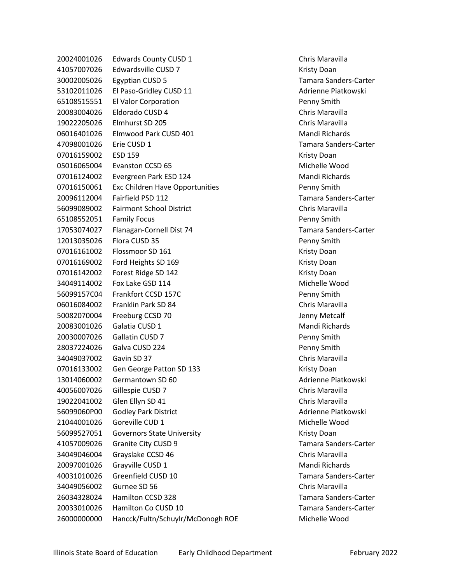20024001026 Edwards County CUSD 1 Chris Maravilla 41057007026 Edwardsville CUSD 7 Kristy Doan 30002005026 Egyptian CUSD 5 Tamara Sanders-Carter 53102011026 El Paso-Gridley CUSD 11 Adrienne Piatkowski 65108515551 El Valor Corporation Penny Smith 20083004026 Eldorado CUSD 4 Chris Maravilla 19022205026 Elmhurst SD 205 Chris Maravilla 06016401026 Elmwood Park CUSD 401 Manual Mandi Richards 47098001026 Erie CUSD 1 Tamara Sanders-Carter 07016159002 ESD 159 Kristy Doan 05016065004 Evanston CCSD 65 Michelle Wood 07016124002 Evergreen Park ESD 124 Mandi Richards 07016150061 Exc Children Have Opportunities **Penny Smith** 20096112004 Fairfield PSD 112 Tamara Sanders-Carter 56099089002 Fairmont School District Chris Maravilla 65108552051 Family Focus Penny Smith 17053074027 Flanagan-Cornell Dist 74 Tamara Sanders-Carter 12013035026 Flora CUSD 35 Penny Smith 07016161002 Flossmoor SD 161 Kristy Doan Kristy Doan 07016169002 Ford Heights SD 169 Kristy Doan 07016142002 Forest Ridge SD 142 Kristy Doan 34049114002 Fox Lake GSD 114 Michelle Wood 56099157C04 Frankfort CCSD 157C Penny Smith 06016084002 Franklin Park SD 84 Chris Maravilla 50082070004 Freeburg CCSD 70 Jenny Metcalf 20083001026 Galatia CUSD 1 Mandi Richards 20030007026 Gallatin CUSD 7 Penny Smith 28037224026 Galva CUSD 224 Penny Smith 34049037002 Gavin SD 37 Chris Maravilla 07016133002 Gen George Patton SD 133 Kristy Doan 13014060002 Germantown SD 60 Adrienne Piatkowski 40056007026 Gillespie CUSD 7 Chris Maravilla 19022041002 Glen Ellyn SD 41 Chris Maravilla 56099060P00 Godley Park District Advised Buildings and Adrienne Piatkowski 21044001026 Goreville CUD 1 and 2008 and 2009 Michelle Wood 56099527051 Governors State University **Kristy Louis Communist Communist Communist** Kristy Doan 41057009026 Granite City CUSD 9 Tamara Sanders-Carter 34049046004 Grayslake CCSD 46 Chris Maravilla 20097001026 Grayville CUSD 1 Mandi Richards 40031010026 Greenfield CUSD 10 Tamara Sanders-Carter 34049056002 Gurnee SD 56 Chris Maravilla 26034328024 Hamilton CCSD 328 Tamara Sanders-Carter 20033010026 Hamilton Co CUSD 10 Tamara Sanders-Carter 26000000000 Hancck/Fultn/Schuylr/McDonogh ROE Michelle Wood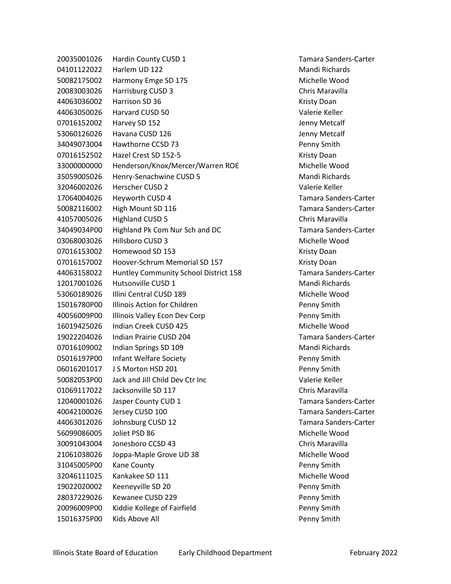20035001026 Hardin County CUSD 1 Tamara Sanders-Carter 04101122022 Harlem UD 122 Mandi Richards 50082175002 Harmony Emge SD 175 Michelle Wood 20083003026 Harrisburg CUSD 3 Chris Maravilla 44063036002 Harrison SD 36 Kristy Doan Kristy Doan 44063050026 Harvard CUSD 50 Valerie Keller 07016152002 Harvey SD 152 **Jenny Metcalf** 53060126026 Havana CUSD 126 Jenny Metcalf 34049073004 Hawthorne CCSD 73 Penny Smith 07016152502 Hazel Crest SD 152-5 Kristy Doan 33000000000 Henderson/Knox/Mercer/Warren ROE Michelle Wood 35059005026 Henry-Senachwine CUSD 5 Mandi Richards 32046002026 Herscher CUSD 2 Valerie Keller 17064004026 Heyworth CUSD 4 Tamara Sanders-Carter 50082116002 High Mount SD 116 Tamara Sanders-Carter 41057005026 Highland CUSD 5 Chris Maravilla 34049034P00 Highland Pk Com Nur Sch and DC Tamara Sanders-Carter 03068003026 Hillsboro CUSD 3 Michelle Wood 07016153002 Homewood SD 153 Kristy Doan 07016157002 Hoover-Schrum Memorial SD 157 Kristy Doan 44063158022 Huntley Community School District 158 Tamara Sanders-Carter 12017001026 Hutsonville CUSD 1 Mandi Richards 53060189026 Illini Central CUSD 189 Michelle Wood 15016780P00 Illinois Action for Children Penny Smith 40056009P00 Illinois Valley Econ Dev Corp Penny Smith 16019425026 Indian Creek CUSD 425 Michelle Wood 19022204026 Indian Prairie CUSD 204 Tamara Sanders-Carter 07016109002 Indian Springs SD 109 Mandi Richards 05016197P00 Infant Welfare Society Penny Smith 06016201017 J S Morton HSD 201 **Penny Smith** 50082053P00 Jack and Jill Child Dev Ctr Inc Valerie Keller 01069117022 Jacksonville SD 117 Chris Maravilla 12040001026 Jasper County CUD 1 Tamara Sanders-Carter 40042100026 Jersey CUSD 100 Tamara Sanders-Carter 44063012026 Johnsburg CUSD 12 Tamara Sanders-Carter 56099086005 Joliet PSD 86 Michelle Wood 30091043004 Jonesboro CCSD 43 Chris Maravilla 21061038026 Joppa-Maple Grove UD 38 Michelle Wood 31045005P00 Kane County **Penny Smith** Penny Smith 32046111025 Kankakee SD 111 Michelle Wood 19022020002 Keeneyville SD 20 Penny Smith 28037229026 Kewanee CUSD 229 Penny Smith 20096009P00 Kiddie Kollege of Fairfield Penny Smith 15016375P00 Kids Above All Penny Smith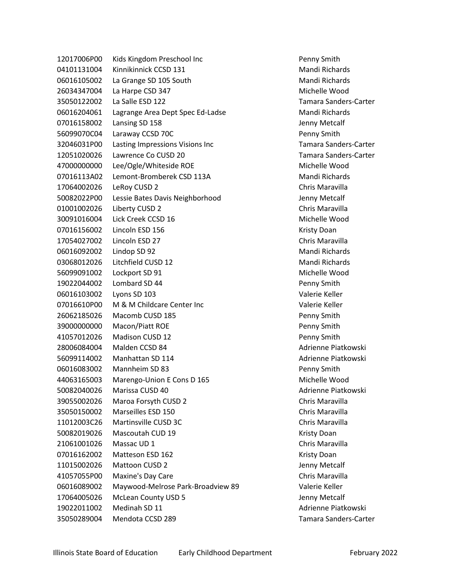12017006P00 Kids Kingdom Preschool Inc **Penny Smith** Penny Smith 04101131004 Kinnikinnick CCSD 131 Mandi Richards 06016105002 La Grange SD 105 South Mandi Richards 26034347004 La Harpe CSD 347 Michelle Wood 35050122002 La Salle ESD 122 Tamara Sanders-Carter 06016204061 Lagrange Area Dept Spec Ed-Ladse Mandi Richards 07016158002 Lansing SD 158 Jenny Metcalf 56099070C04 Laraway CCSD 70C Penny Smith 32046031P00 Lasting Impressions Visions Inc Tamara Sanders-Carter 12051020026 Lawrence Co CUSD 20 Tamara Sanders-Carter 47000000000 Lee/Ogle/Whiteside ROE Michelle Wood 07016113A02 Lemont-Bromberek CSD 113A Mandi Richards 17064002026 LeRoy CUSD 2 Chris Maravilla 50082022P00 Lessie Bates Davis Neighborhood Jenny Metcalf 01001002026 Liberty CUSD 2 Chris Maravilla 30091016004 Lick Creek CCSD 16 Michelle Wood 07016156002 Lincoln ESD 156 Kristy Doan Kristy Doan 17054027002 Lincoln ESD 27 Chris Maravilla 06016092002 Lindop SD 92 Mandi Richards 03068012026 Litchfield CUSD 12 Mandi Richards 56099091002 Lockport SD 91 Michelle Wood 19022044002 Lombard SD 44 Penny Smith 06016103002 Lyons SD 103 Valerie Keller 07016610P00 M & M Childcare Center Inc Valerie Keller 26062185026 Macomb CUSD 185 Penny Smith 39000000000 Macon/Piatt ROE Penny Smith 41057012026 Madison CUSD 12 Penny Smith 28006084004 Malden CCSD 84 Adrienne Piatkowski 56099114002 Manhattan SD 114 Adrienne Piatkowski 06016083002 Mannheim SD 83 Penny Smith 44063165003 Marengo-Union E Cons D 165 Michelle Wood 50082040026 Marissa CUSD 40 Adrienne Piatkowski 39055002026 Maroa Forsyth CUSD 2 Chris Maravilla 35050150002 Marseilles ESD 150 Chris Maravilla 11012003C26 Martinsville CUSD 3C Chris Maravilla 50082019026 Mascoutah CUD 19 Kristy Doan 21061001026 Massac UD 1 Chris Maravilla 07016162002 Matteson ESD 162 Kristy Doan 11015002026 Mattoon CUSD 2 Jenny Metcalf 41057055P00 Maxine's Day Care Chris Maravilla 06016089002 Maywood-Melrose Park-Broadview 89 Valerie Keller 17064005026 McLean County USD 5 Jenny Metcalf 19022011002 Medinah SD 11 Adrienne Piatkowski 35050289004 Mendota CCSD 289 Tamara Sanders-Carter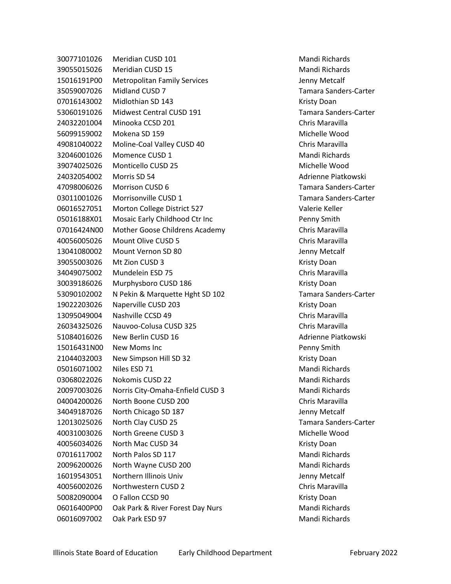30077101026 Meridian CUSD 101 Mandi Richards 39055015026 Meridian CUSD 15 Mandi Richards 15016191P00 Metropolitan Family Services Jenny Metcalf 35059007026 Midland CUSD 7 Tamara Sanders-Carter 07016143002 Midlothian SD 143 Kristy Doan 53060191026 Midwest Central CUSD 191 Tamara Sanders-Carter 24032201004 Minooka CCSD 201 Chris Maravilla 56099159002 Mokena SD 159 Michelle Wood 49081040022 Moline-Coal Valley CUSD 40 Chris Maravilla 32046001026 Momence CUSD 1 Mandi Richards 39074025026 Monticello CUSD 25 Michelle Wood 24032054002 Morris SD 54 Adrienne Piatkowski 47098006026 Morrison CUSD 6 Tamara Sanders-Carter 03011001026 Morrisonville CUSD 1 Tamara Sanders-Carter 06016527051 Morton College District 527 Valerie Keller 05016188X01 Mosaic Early Childhood Ctr Inc **Penny Smith** 07016424N00 Mother Goose Childrens Academy Chris Maravilla 40056005026 Mount Olive CUSD 5 Chris Maravilla 13041080002 Mount Vernon SD 80 Jenny Metcalf 39055003026 Mt Zion CUSD 3 Kristy Doan 34049075002 Mundelein ESD 75 Chris Maravilla 30039186026 Murphysboro CUSD 186 Kristy Doan 53090102002 N Pekin & Marquette Hght SD 102 Tamara Sanders-Carter 19022203026 Naperville CUSD 203 Kristy Doan 13095049004 Nashville CCSD 49 Chris Maravilla 26034325026 Nauvoo-Colusa CUSD 325 Chris Maravilla 51084016026 New Berlin CUSD 16 Adrienne Piatkowski 15016431N00 New Moms Inc **Penny Smith** Penny Smith 21044032003 New Simpson Hill SD 32 Kristy Doan 05016071002 Niles ESD 71 Mandi Richards 03068022026 Nokomis CUSD 22 Mandi Richards 20097003026 Norris City-Omaha-Enfield CUSD 3 Mandi Richards 04004200026 North Boone CUSD 200 Chris Maravilla 34049187026 North Chicago SD 187 Jenny Metcalf 12013025026 North Clay CUSD 25 Tamara Sanders-Carter 40031003026 North Greene CUSD 3 Michelle Wood 40056034026 North Mac CUSD 34 Kristy Doan 07016117002 North Palos SD 117 Mandi Richards 20096200026 North Wayne CUSD 200 Mandi Richards 16019543051 Northern Illinois Univ Jenny Metcalf 40056002026 Northwestern CUSD 2 Chris Maravilla 50082090004 O Fallon CCSD 90 Kristy Doan 06016400P00 Oak Park & River Forest Day Nurs Mandi Richards 06016097002 Oak Park ESD 97 Mandi Richards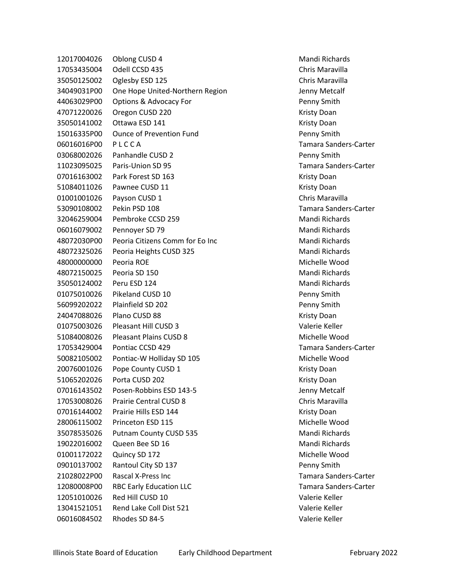Oblong CUSD 4 Mandi Richards Odell CCSD 435 Chris Maravilla Oglesby ESD 125 Chris Maravilla 34049031P00 One Hope United-Northern Region State Management Chemical Metcalf 44063029P00 Options & Advocacy For Penny Smith Oregon CUSD 220 Kristy Doan 35050141002 Ottawa ESD 141 Kristy Doan 15016335P00 Ounce of Prevention Fund Penny Smith 06016016P00 P L C C A Tamara Sanders-Carter Panhandle CUSD 2 Penny Smith Paris-Union SD 95 Tamara Sanders-Carter 07016163002 Park Forest SD 163 Kristy Doan 51084011026 Pawnee CUSD 11 Contract Customer Management Customer Management Customer Management Customer Management Customer Management Customer Management Customer Management Customer Management Customer Management Custom Payson CUSD 1 Chris Maravilla Pekin PSD 108 Tamara Sanders-Carter Pembroke CCSD 259 Mandi Richards 06016079002 Pennoyer SD 79 Mandi Richards 48072030P00 Peoria Citizens Comm for Eo Inc Mandi Richards Peoria Heights CUSD 325 Mandi Richards Peoria ROE Michelle Wood Peoria SD 150 Mandi Richards Peru ESD 124 Mandi Richards Pikeland CUSD 10 Penny Smith Plainfield SD 202 Penny Smith 24047088026 Plano CUSD 88 Kristy Doan Pleasant Hill CUSD 3 Valerie Keller Pleasant Plains CUSD 8 Michelle Wood Pontiac CCSD 429 Tamara Sanders-Carter Pontiac-W Holliday SD 105 Michelle Wood 20076001026 Pope County CUSD 1 November 20076001026 Pope County CUSD 1 Porta CUSD 202 Kristy Doan 07016143502 Posen-Robbins ESD 143-5 Jenny Metcalf Prairie Central CUSD 8 Chris Maravilla 07016144002 Prairie Hills ESD 144 Kristy Doan Princeton ESD 115 Michelle Wood 35078535026 Putnam County CUSD 535 Mandi Richards Queen Bee SD 16 Mandi Richards Quincy SD 172 Michelle Wood 09010137002 Rantoul City SD 137 **Penny Smith** 21028022P00 Rascal X-Press Inc Tamara Sanders-Carter 12080008P00 RBC Early Education LLC Tamara Sanders-Carter Red Hill CUSD 10 Valerie Keller Rend Lake Coll Dist 521 Valerie Keller Rhodes SD 84-5 Valerie Keller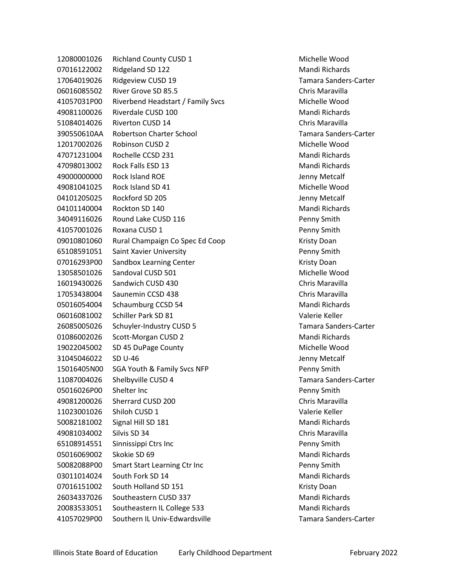12080001026 Richland County CUSD 1 Michelle Wood 07016122002 Ridgeland SD 122 Mandi Richards 17064019026 Ridgeview CUSD 19 Tamara Sanders-Carter 06016085502 River Grove SD 85.5 Chris Maravilla 41057031P00 Riverbend Headstart / Family Svcs Michelle Wood 49081100026 Riverdale CUSD 100 Mandi Richards 51084014026 Riverton CUSD 14 Chris Maravilla 390550610AA Robertson Charter School Tamara Sanders-Carter 12017002026 Robinson CUSD 2 Michelle Wood 47071231004 Rochelle CCSD 231 Mandi Richards 47098013002 Rock Falls ESD 13 Mandi Richards 49000000000 Rock Island ROE Jenny Metcalf 49081041025 Rock Island SD 41 Michelle Wood 04101205025 Rockford SD 205 Jenny Metcalf 04101140004 Rockton SD 140 Mandi Richards 34049116026 Round Lake CUSD 116 **Penny Smith** Penny Smith 41057001026 Roxana CUSD 1 Penny Smith 09010801060 Rural Champaign Co Spec Ed Coop Kristy Doan 65108591051 Saint Xavier University Penny Smith 07016293P00 Sandbox Learning Center **Contains a Container Container Container** Kristy Doan 13058501026 Sandoval CUSD 501 Michelle Wood 16019430026 Sandwich CUSD 430 Chris Maravilla 17053438004 Saunemin CCSD 438 Chris Maravilla 05016054004 Schaumburg CCSD 54 Mandi Richards 06016081002 Schiller Park SD 81 Valerie Keller 26085005026 Schuyler-Industry CUSD 5 Tamara Sanders-Carter 01086002026 Scott-Morgan CUSD 2 Mandi Richards 19022045002 SD 45 DuPage County Michelle Wood 31045046022 SD U-46 Jenny Metcalf 15016405N00 SGA Youth & Family Svcs NFP Penny Smith 11087004026 Shelbyville CUSD 4 Tamara Sanders-Carter 05016026P00 Shelter Inc Penny Smith 49081200026 Sherrard CUSD 200 Chris Maravilla 11023001026 Shiloh CUSD 1 Valerie Keller 50082181002 Signal Hill SD 181 Manual Accords Mandi Richards 49081034002 Silvis SD 34 Chris Maravilla 65108914551 Sinnissippi Ctrs Inc Penny Smith 05016069002 Skokie SD 69 Mandi Richards 50082088P00 Smart Start Learning Ctr Inc Penny Smith 03011014024 South Fork SD 14 Mandi Richards 07016151002 South Holland SD 151 Kristy Doan 26034337026 Southeastern CUSD 337 Mandi Richards 20083533051 Southeastern IL College 533 Mandi Richards 41057029P00 Southern IL Univ-Edwardsville Tamara Sanders-Carter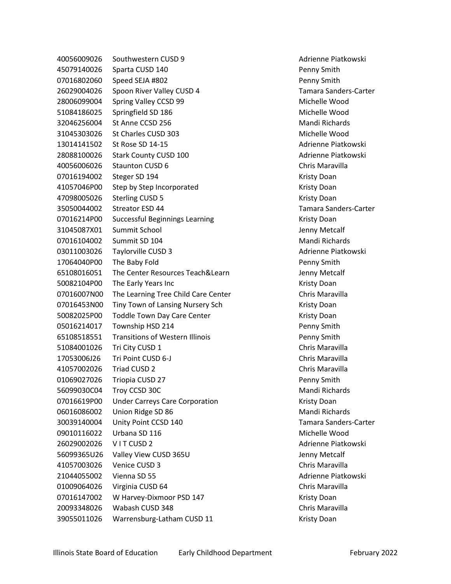40056009026 Southwestern CUSD 9 Adrienne Piatkowski 45079140026 Sparta CUSD 140 **Penny Smith** 07016802060 Speed SEJA #802 Penny Smith 26029004026 Spoon River Valley CUSD 4 Tamara Sanders-Carter 28006099004 Spring Valley CCSD 99 Michelle Wood 51084186025 Springfield SD 186 Michelle Wood 32046256004 St Anne CCSD 256 Mandi Richards 31045303026 St Charles CUSD 303 Michelle Wood 13014141502 St Rose SD 14-15 Adrienne Piatkowski 28088100026 Stark County CUSD 100 Adrienne Piatkowski 40056006026 Staunton CUSD 6 Chris Maravilla 07016194002 Steger SD 194 Kristy Doan 41057046P00 Step by Step Incorporated The Control of the Kristy Doan A 47098005026 Sterling CUSD 5 Kristy Doan 35050044002 Streator ESD 44 Tamara Sanders-Carter 07016214P00 Successful Beginnings Learning Material Research Risty Doan 31045087X01 Summit School Jenny Metcalf 07016104002 Summit SD 104 Mandi Richards 03011003026 Taylorville CUSD 3 Adrienne Piatkowski 17064040P00 The Baby Fold **Penny Smith** Penny Smith 65108016051 The Center Resources Teach&Learn Jenny Metcalf 50082104P00 The Early Years Inc Kristy Doan 07016007N00 The Learning Tree Child Care Center Chris Maravilla 07016453N00 Tiny Town of Lansing Nursery Sch Kristy Doan 50082025P00 Toddle Town Day Care Center Markett Research Kristy Doan 05016214017 Township HSD 214 Penny Smith 65108518551 Transitions of Western Illinois Penny Smith 51084001026 Tri City CUSD 1 Chris Maravilla 17053006J26 Tri Point CUSD 6-J Chris Maravilla 41057002026 Triad CUSD 2 Chris Maravilla 01069027026 Triopia CUSD 27 Penny Smith 56099030C04 Troy CCSD 30C Mandi Richards 07016619P00 Under Carreys Care Corporation The Muslim Kristy Doan 06016086002 Union Ridge SD 86 Mandi Richards 30039140004 Unity Point CCSD 140 Tamara Sanders-Carter 09010116022 Urbana SD 116 Michelle Wood 26029002026 V I T CUSD 2 Adrienne Piatkowski 56099365U26 Valley View CUSD 365U Jenny Metcalf 41057003026 Venice CUSD 3 Chris Maravilla 21044055002 Vienna SD 55 Adrienne Piatkowski 01009064026 Virginia CUSD 64 Chris Maravilla 07016147002 W Harvey-Dixmoor PSD 147 Kristy Doan 20093348026 Wabash CUSD 348 Chris Maravilla 39055011026 Warrensburg-Latham CUSD 11 Kristy Doan